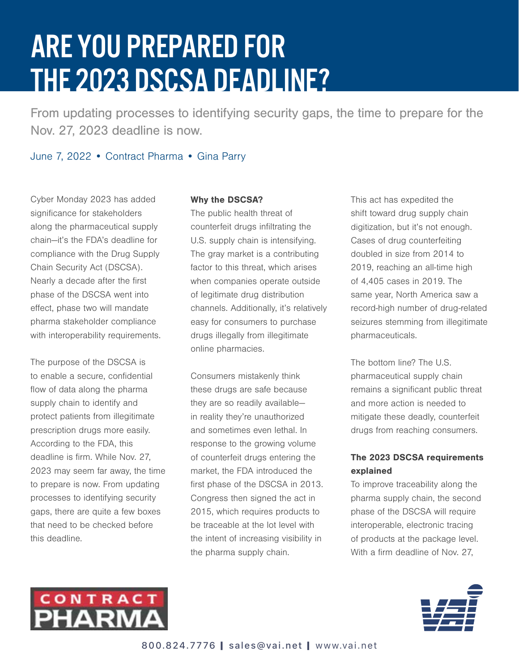# ARE YOU PREPARED FOR THE 2023 DSCSA DEADLINE?

From updating processes to identifying security gaps, the time to prepare for the Nov. 27, 2023 deadline is now.

June 7, 2022 • Contract Pharma • Gina Parry

Cyber Monday 2023 has added significance for stakeholders along the pharmaceutical supply chain—it's the FDA's deadline for compliance with the Drug Supply Chain Security Act (DSCSA). Nearly a decade after the first phase of the DSCSA went into effect, phase two will mandate pharma stakeholder compliance with interoperability requirements.

The purpose of the DSCSA is to enable a secure, confidential flow of data along the pharma supply chain to identify and protect patients from illegitimate prescription drugs more easily. According to the FDA, this deadline is firm. While Nov. 27, 2023 may seem far away, the time to prepare is now. From updating processes to identifying security gaps, there are quite a few boxes that need to be checked before this deadline.

#### Why the DSCSA?

The public health threat of counterfeit drugs infiltrating the U.S. supply chain is intensifying. The gray market is a contributing factor to this threat, which arises when companies operate outside of legitimate drug distribution channels. Additionally, it's relatively easy for consumers to purchase drugs illegally from illegitimate online pharmacies.

Consumers mistakenly think these drugs are safe because they are so readily available in reality they're unauthorized and sometimes even lethal. In response to the growing volume of counterfeit drugs entering the market, the FDA introduced the first phase of the DSCSA in 2013. Congress then signed the act in 2015, which requires products to be traceable at the lot level with the intent of increasing visibility in the pharma supply chain.

This act has expedited the shift toward drug supply chain digitization, but it's not enough. Cases of drug counterfeiting doubled in size from 2014 to 2019, reaching an all-time high of 4,405 cases in 2019. The same year, North America saw a record-high number of drug-related seizures stemming from illegitimate pharmaceuticals.

The bottom line? The U.S. pharmaceutical supply chain remains a significant public threat and more action is needed to mitigate these deadly, counterfeit drugs from reaching consumers.

# The 2023 DSCSA requirements explained

To improve traceability along the pharma supply chain, the second phase of the DSCSA will require interoperable, electronic tracing of products at the package level. With a firm deadline of Nov. 27,



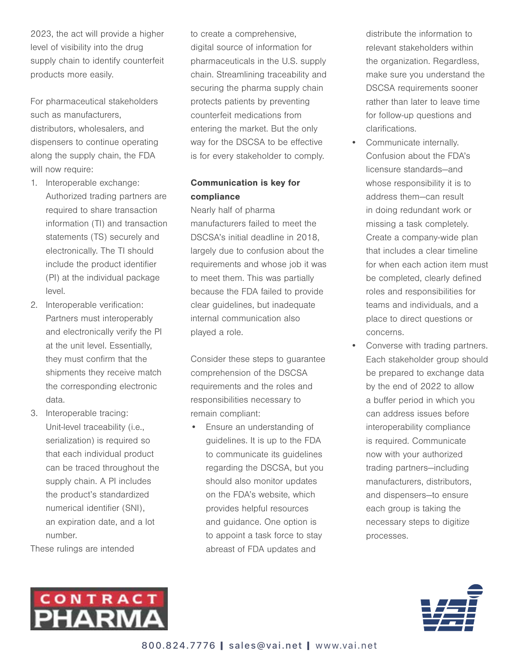2023, the act will provide a higher level of visibility into the drug supply chain to identify counterfeit products more easily.

For pharmaceutical stakeholders such as manufacturers, distributors, wholesalers, and dispensers to continue operating along the supply chain, the FDA will now require:

- 1. Interoperable exchange: Authorized trading partners are required to share transaction information (TI) and transaction statements (TS) securely and electronically. The TI should include the product identifier (PI) at the individual package level.
- 2. Interoperable verification: Partners must interoperably and electronically verify the PI at the unit level. Essentially, they must confirm that the shipments they receive match the corresponding electronic data.
- 3. Interoperable tracing: Unit-level traceability (i.e., serialization) is required so that each individual product can be traced throughout the supply chain. A PI includes the product's standardized numerical identifier (SNI), an expiration date, and a lot number.

These rulings are intended



to create a comprehensive, digital source of information for pharmaceuticals in the U.S. supply chain. Streamlining traceability and securing the pharma supply chain protects patients by preventing counterfeit medications from entering the market. But the only way for the DSCSA to be effective is for every stakeholder to comply.

### Communication is key for compliance

Nearly half of pharma manufacturers failed to meet the DSCSA's initial deadline in 2018, largely due to confusion about the requirements and whose job it was to meet them. This was partially because the FDA failed to provide clear guidelines, but inadequate internal communication also played a role.

Consider these steps to guarantee comprehension of the DSCSA requirements and the roles and responsibilities necessary to remain compliant:

• Ensure an understanding of guidelines. It is up to the FDA to communicate its guidelines regarding the DSCSA, but you should also monitor updates on the FDA's website, which provides helpful resources and guidance. One option is to appoint a task force to stay abreast of FDA updates and

distribute the information to relevant stakeholders within the organization. Regardless, make sure you understand the DSCSA requirements sooner rather than later to leave time for follow-up questions and clarifications.

- Communicate internally. Confusion about the FDA's licensure standards—and whose responsibility it is to address them—can result in doing redundant work or missing a task completely. Create a company-wide plan that includes a clear timeline for when each action item must be completed, clearly defined roles and responsibilities for teams and individuals, and a place to direct questions or concerns.
- Converse with trading partners. Each stakeholder group should be prepared to exchange data by the end of 2022 to allow a buffer period in which you can address issues before interoperability compliance is required. Communicate now with your authorized trading partners—including manufacturers, distributors, and dispensers—to ensure each group is taking the necessary steps to digitize processes.

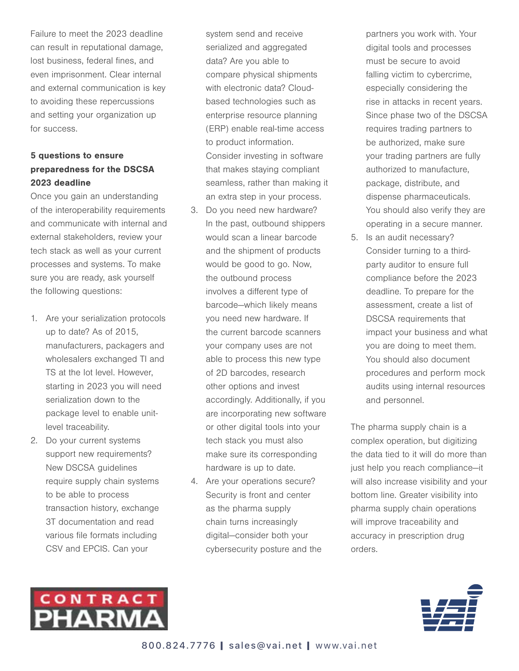Failure to meet the 2023 deadline can result in reputational damage, lost business, federal fines, and even imprisonment. Clear internal and external communication is key to avoiding these repercussions and setting your organization up for success.

### 5 questions to ensure preparedness for the DSCSA 2023 deadline

Once you gain an understanding of the interoperability requirements and communicate with internal and external stakeholders, review your tech stack as well as your current processes and systems. To make sure you are ready, ask yourself the following questions:

- 1. Are your serialization protocols up to date? As of 2015, manufacturers, packagers and wholesalers exchanged TI and TS at the lot level. However, starting in 2023 you will need serialization down to the package level to enable unitlevel traceability.
- 2. Do your current systems support new requirements? New DSCSA guidelines require supply chain systems to be able to process transaction history, exchange 3T documentation and read various file formats including CSV and EPCIS. Can your

system send and receive serialized and aggregated data? Are you able to compare physical shipments with electronic data? Cloudbased technologies such as enterprise resource planning (ERP) enable real-time access to product information. Consider investing in software that makes staying compliant seamless, rather than making it an extra step in your process.

- 3. Do you need new hardware? In the past, outbound shippers would scan a linear barcode and the shipment of products would be good to go. Now, the outbound process involves a different type of barcode—which likely means you need new hardware. If the current barcode scanners your company uses are not able to process this new type of 2D barcodes, research other options and invest accordingly. Additionally, if you are incorporating new software or other digital tools into your tech stack you must also make sure its corresponding hardware is up to date.
- 4. Are your operations secure? Security is front and center as the pharma supply chain turns increasingly digital—consider both your cybersecurity posture and the

partners you work with. Your digital tools and processes must be secure to avoid falling victim to cybercrime, especially considering the rise in attacks in recent years. Since phase two of the DSCSA requires trading partners to be authorized, make sure your trading partners are fully authorized to manufacture, package, distribute, and dispense pharmaceuticals. You should also verify they are operating in a secure manner.

5. Is an audit necessary? Consider turning to a thirdparty auditor to ensure full compliance before the 2023 deadline. To prepare for the assessment, create a list of DSCSA requirements that impact your business and what you are doing to meet them. You should also document procedures and perform mock audits using internal resources and personnel.

The pharma supply chain is a complex operation, but digitizing the data tied to it will do more than just help you reach compliance—it will also increase visibility and your bottom line. Greater visibility into pharma supply chain operations will improve traceability and accuracy in prescription drug orders.